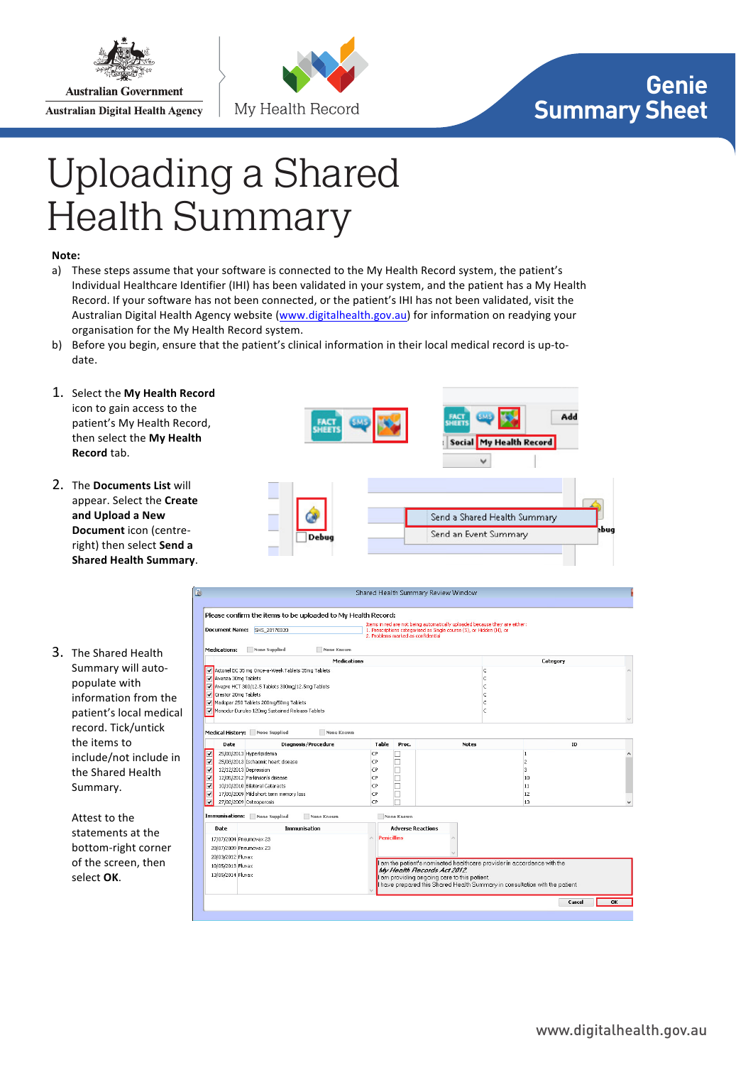

**Australian Digital Health Agency** 



## **Genie Summary Sheet**

## **General** Uploading a Shared Health Summary

## Note:

- a) These steps assume that your software is connected to the My Health Record system, the patient's Individual Healthcare Identifier (IHI) has been validated in your system, and the patient has a My Health Record. If your software has not been connected, or the patient's IHI has not been validated, visit the Australian Digital Health Agency website (www.digitalhealth.gov.au) for information on readying your organisation for the My Health Record system.
- b) Before you begin, ensure that the patient's clinical information in their local medical record is up-todate.
- 1. Select the My Health Record icon to gain access to the patient's My Health Record, then select the My Health **Record** tab.
- 2. The **Documents List** will appear. Select the **Create** and Upload a New **Document** icon (centreright) then select Send a **Shared Health Summary.**
- 3. The Shared Health Summary will autopopulate with information from the patient's local medical record. Tick/untick the items to include/not include in the Shared Health Summary.

Attest to the statements at the bottom-right corner of the screen, then select OK.



| None Supplied<br><b>Medications:</b><br><b>None Known</b><br><b>Medications</b><br>Category<br>Actonel EC 35 mg Once-a-Week Tablets 35mg Tablets<br>Ic.<br>lc.<br>W Avanza 30mg Tablets<br>W Avapro HCT 300/12.5 Tablets 300mg/12.5mg Tablets<br>C<br>Crestor 20mg Tablets<br>c<br>Madopar 250 Tablets 200mg/50mg Tablets<br>Ċ<br>c<br>Monodur Durules 120mg Sustained Release Tablets<br>Medical History: None Supplied<br>None Known<br>Date<br><b>Diagnosis/Procedure</b><br>Table<br>ID<br>Proc.<br>Notes<br>⊽<br>25/03/2013 Hyperlipidemia<br>CP<br>1<br>V<br>25/03/2013 Ischaemic heart disease<br>CP<br>$\overline{2}$<br>ᢦ<br>12/12/2013 Depression<br>CP<br>з<br>√<br>12/05/2012 Parkinson's disease<br>CP<br>10<br>10/10/2010 Bilateral Cataracts<br>CP<br>⊽<br>11<br>$\overline{\mathbf{v}}$<br>17/03/2009 Mild short term memory loss<br>CP<br>12<br>CP<br>$\overline{\mathsf{v}}$<br>27/02/2009 Osteoporosis<br>13<br>Immunisations:<br>None Supplied<br>None Known<br>None Known<br>Immunisation<br><b>Adverse Reactions</b><br>Date<br><b>Penicillins</b><br>$\wedge$<br>17/07/2004 Pneumovax 23<br>20/07/2009 Pneumovax 23<br>20/03/2012 Fluvax<br>I am the patient's nominated healthcare provider in accordance with the<br>10/05/2013 Fluvax<br>My Health Records Act 2012.<br>13/05/2014 Fluvax<br>I am providing ongoing care to this patient.<br>I have prepared this Shared Health Summary in consultation with the patient. | <b>Document Name:</b> | SHS 20170320 | 2. Problems marked as confidential | Items in red are not being automatically uploaded because they are either:<br>1. Prescriptions categorised as Single course (S), or Hidden (H), or |  |  |
|-----------------------------------------------------------------------------------------------------------------------------------------------------------------------------------------------------------------------------------------------------------------------------------------------------------------------------------------------------------------------------------------------------------------------------------------------------------------------------------------------------------------------------------------------------------------------------------------------------------------------------------------------------------------------------------------------------------------------------------------------------------------------------------------------------------------------------------------------------------------------------------------------------------------------------------------------------------------------------------------------------------------------------------------------------------------------------------------------------------------------------------------------------------------------------------------------------------------------------------------------------------------------------------------------------------------------------------------------------------------------------------------------------------------------------------------------------|-----------------------|--------------|------------------------------------|----------------------------------------------------------------------------------------------------------------------------------------------------|--|--|
|                                                                                                                                                                                                                                                                                                                                                                                                                                                                                                                                                                                                                                                                                                                                                                                                                                                                                                                                                                                                                                                                                                                                                                                                                                                                                                                                                                                                                                                     |                       |              |                                    |                                                                                                                                                    |  |  |
|                                                                                                                                                                                                                                                                                                                                                                                                                                                                                                                                                                                                                                                                                                                                                                                                                                                                                                                                                                                                                                                                                                                                                                                                                                                                                                                                                                                                                                                     |                       |              |                                    |                                                                                                                                                    |  |  |
|                                                                                                                                                                                                                                                                                                                                                                                                                                                                                                                                                                                                                                                                                                                                                                                                                                                                                                                                                                                                                                                                                                                                                                                                                                                                                                                                                                                                                                                     |                       |              |                                    |                                                                                                                                                    |  |  |
|                                                                                                                                                                                                                                                                                                                                                                                                                                                                                                                                                                                                                                                                                                                                                                                                                                                                                                                                                                                                                                                                                                                                                                                                                                                                                                                                                                                                                                                     |                       |              |                                    |                                                                                                                                                    |  |  |
|                                                                                                                                                                                                                                                                                                                                                                                                                                                                                                                                                                                                                                                                                                                                                                                                                                                                                                                                                                                                                                                                                                                                                                                                                                                                                                                                                                                                                                                     |                       |              |                                    |                                                                                                                                                    |  |  |
|                                                                                                                                                                                                                                                                                                                                                                                                                                                                                                                                                                                                                                                                                                                                                                                                                                                                                                                                                                                                                                                                                                                                                                                                                                                                                                                                                                                                                                                     |                       |              |                                    |                                                                                                                                                    |  |  |
|                                                                                                                                                                                                                                                                                                                                                                                                                                                                                                                                                                                                                                                                                                                                                                                                                                                                                                                                                                                                                                                                                                                                                                                                                                                                                                                                                                                                                                                     |                       |              |                                    |                                                                                                                                                    |  |  |
|                                                                                                                                                                                                                                                                                                                                                                                                                                                                                                                                                                                                                                                                                                                                                                                                                                                                                                                                                                                                                                                                                                                                                                                                                                                                                                                                                                                                                                                     |                       |              |                                    |                                                                                                                                                    |  |  |
|                                                                                                                                                                                                                                                                                                                                                                                                                                                                                                                                                                                                                                                                                                                                                                                                                                                                                                                                                                                                                                                                                                                                                                                                                                                                                                                                                                                                                                                     |                       |              |                                    |                                                                                                                                                    |  |  |
|                                                                                                                                                                                                                                                                                                                                                                                                                                                                                                                                                                                                                                                                                                                                                                                                                                                                                                                                                                                                                                                                                                                                                                                                                                                                                                                                                                                                                                                     |                       |              |                                    |                                                                                                                                                    |  |  |
|                                                                                                                                                                                                                                                                                                                                                                                                                                                                                                                                                                                                                                                                                                                                                                                                                                                                                                                                                                                                                                                                                                                                                                                                                                                                                                                                                                                                                                                     |                       |              |                                    |                                                                                                                                                    |  |  |
|                                                                                                                                                                                                                                                                                                                                                                                                                                                                                                                                                                                                                                                                                                                                                                                                                                                                                                                                                                                                                                                                                                                                                                                                                                                                                                                                                                                                                                                     |                       |              |                                    |                                                                                                                                                    |  |  |
|                                                                                                                                                                                                                                                                                                                                                                                                                                                                                                                                                                                                                                                                                                                                                                                                                                                                                                                                                                                                                                                                                                                                                                                                                                                                                                                                                                                                                                                     |                       |              |                                    |                                                                                                                                                    |  |  |
|                                                                                                                                                                                                                                                                                                                                                                                                                                                                                                                                                                                                                                                                                                                                                                                                                                                                                                                                                                                                                                                                                                                                                                                                                                                                                                                                                                                                                                                     |                       |              |                                    |                                                                                                                                                    |  |  |
|                                                                                                                                                                                                                                                                                                                                                                                                                                                                                                                                                                                                                                                                                                                                                                                                                                                                                                                                                                                                                                                                                                                                                                                                                                                                                                                                                                                                                                                     |                       |              |                                    |                                                                                                                                                    |  |  |
|                                                                                                                                                                                                                                                                                                                                                                                                                                                                                                                                                                                                                                                                                                                                                                                                                                                                                                                                                                                                                                                                                                                                                                                                                                                                                                                                                                                                                                                     |                       |              |                                    |                                                                                                                                                    |  |  |
|                                                                                                                                                                                                                                                                                                                                                                                                                                                                                                                                                                                                                                                                                                                                                                                                                                                                                                                                                                                                                                                                                                                                                                                                                                                                                                                                                                                                                                                     |                       |              |                                    |                                                                                                                                                    |  |  |
|                                                                                                                                                                                                                                                                                                                                                                                                                                                                                                                                                                                                                                                                                                                                                                                                                                                                                                                                                                                                                                                                                                                                                                                                                                                                                                                                                                                                                                                     |                       |              |                                    |                                                                                                                                                    |  |  |
|                                                                                                                                                                                                                                                                                                                                                                                                                                                                                                                                                                                                                                                                                                                                                                                                                                                                                                                                                                                                                                                                                                                                                                                                                                                                                                                                                                                                                                                     |                       |              |                                    |                                                                                                                                                    |  |  |
|                                                                                                                                                                                                                                                                                                                                                                                                                                                                                                                                                                                                                                                                                                                                                                                                                                                                                                                                                                                                                                                                                                                                                                                                                                                                                                                                                                                                                                                     |                       |              |                                    |                                                                                                                                                    |  |  |
|                                                                                                                                                                                                                                                                                                                                                                                                                                                                                                                                                                                                                                                                                                                                                                                                                                                                                                                                                                                                                                                                                                                                                                                                                                                                                                                                                                                                                                                     |                       |              |                                    |                                                                                                                                                    |  |  |
|                                                                                                                                                                                                                                                                                                                                                                                                                                                                                                                                                                                                                                                                                                                                                                                                                                                                                                                                                                                                                                                                                                                                                                                                                                                                                                                                                                                                                                                     |                       |              |                                    |                                                                                                                                                    |  |  |
|                                                                                                                                                                                                                                                                                                                                                                                                                                                                                                                                                                                                                                                                                                                                                                                                                                                                                                                                                                                                                                                                                                                                                                                                                                                                                                                                                                                                                                                     |                       |              |                                    |                                                                                                                                                    |  |  |
|                                                                                                                                                                                                                                                                                                                                                                                                                                                                                                                                                                                                                                                                                                                                                                                                                                                                                                                                                                                                                                                                                                                                                                                                                                                                                                                                                                                                                                                     |                       |              |                                    |                                                                                                                                                    |  |  |
|                                                                                                                                                                                                                                                                                                                                                                                                                                                                                                                                                                                                                                                                                                                                                                                                                                                                                                                                                                                                                                                                                                                                                                                                                                                                                                                                                                                                                                                     |                       |              |                                    |                                                                                                                                                    |  |  |
|                                                                                                                                                                                                                                                                                                                                                                                                                                                                                                                                                                                                                                                                                                                                                                                                                                                                                                                                                                                                                                                                                                                                                                                                                                                                                                                                                                                                                                                     |                       |              |                                    |                                                                                                                                                    |  |  |
|                                                                                                                                                                                                                                                                                                                                                                                                                                                                                                                                                                                                                                                                                                                                                                                                                                                                                                                                                                                                                                                                                                                                                                                                                                                                                                                                                                                                                                                     |                       |              |                                    |                                                                                                                                                    |  |  |